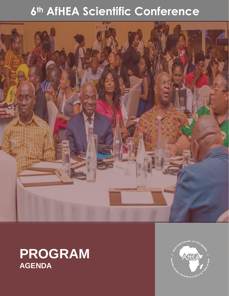## 6th AfHEA Scientific Conference



## **PROGRAM AGENDA**

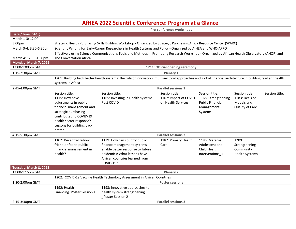## **AfHEA 2022 Scientific Conference: Program at a Glance**

|                        | Pre-conference workshops                                                                                                                                                         |                                                                                                                                                |                            |                         |                       |                |  |  |
|------------------------|----------------------------------------------------------------------------------------------------------------------------------------------------------------------------------|------------------------------------------------------------------------------------------------------------------------------------------------|----------------------------|-------------------------|-----------------------|----------------|--|--|
| Date / time (GMT)      |                                                                                                                                                                                  |                                                                                                                                                |                            |                         |                       |                |  |  |
| March 1-3: 12:00-      |                                                                                                                                                                                  |                                                                                                                                                |                            |                         |                       |                |  |  |
| 3:00pm                 | Strategic Health Purchasing Skills Building Workshop - Organized by Strategic Purchasing Africa Resource Center (SPARC)                                                          |                                                                                                                                                |                            |                         |                       |                |  |  |
| March 3-4: 3:30-6:30pm | Scientific Writing for Early-Career Researchers in Health Systems and Policy - Organized by AfHEA and WHO-AFRO                                                                   |                                                                                                                                                |                            |                         |                       |                |  |  |
|                        |                                                                                                                                                                                  | Effectively using Science Communications Tools and Methods in Promoting Research Workshop - Organized by African Health Observatory (AHOP) and |                            |                         |                       |                |  |  |
| March 4: 12:00-1:30pm  | The Conversation Africa                                                                                                                                                          |                                                                                                                                                |                            |                         |                       |                |  |  |
| Monday: March 7, 2022  |                                                                                                                                                                                  |                                                                                                                                                |                            |                         |                       |                |  |  |
| 12:00-1:00pm GMT       | 1211: Official opening ceremony                                                                                                                                                  |                                                                                                                                                |                            |                         |                       |                |  |  |
| 1:15-2:30pm GMT        | <b>Plenary 1</b>                                                                                                                                                                 |                                                                                                                                                |                            |                         |                       |                |  |  |
|                        | 1201: Building back better health systems: the role of innovation, multi-sectoral approaches and global financial architecture in building resilient health<br>systems in Africa |                                                                                                                                                |                            |                         |                       |                |  |  |
| 2:45-4:00pm GMT        | <b>Parallel sessions 1</b>                                                                                                                                                       |                                                                                                                                                |                            |                         |                       |                |  |  |
|                        | Session title:                                                                                                                                                                   | Session title:                                                                                                                                 | Session title:             | Session title:          | Session title:        | Session title: |  |  |
|                        | 1115: How have                                                                                                                                                                   | 1165: Investing in Health systems                                                                                                              | 1167: Impact of COVID      | 1168: Strengthening     | 1183: Decision        |                |  |  |
|                        | adjustments in public                                                                                                                                                            | Post COVID                                                                                                                                     | on Health Services         | <b>Public Financial</b> | Models and            |                |  |  |
|                        | financial management and                                                                                                                                                         |                                                                                                                                                |                            | Management              | Quality of Care       |                |  |  |
|                        | strategic purchasing                                                                                                                                                             |                                                                                                                                                |                            | Systems                 |                       |                |  |  |
|                        | contributed to COVID-19                                                                                                                                                          |                                                                                                                                                |                            |                         |                       |                |  |  |
|                        | health sector response?                                                                                                                                                          |                                                                                                                                                |                            |                         |                       |                |  |  |
|                        | Lessons for building back                                                                                                                                                        |                                                                                                                                                |                            |                         |                       |                |  |  |
|                        | better.                                                                                                                                                                          |                                                                                                                                                |                            |                         |                       |                |  |  |
| 4:15-5.30pm GMT        | <b>Parallel sessions 2</b>                                                                                                                                                       |                                                                                                                                                |                            |                         |                       |                |  |  |
|                        | 1102: Decentralization:                                                                                                                                                          | 1139: How can country public                                                                                                                   | 1182: Primary Health       | 1186: Maternal,         | 1209:                 |                |  |  |
|                        | friend or foe to public                                                                                                                                                          | finance management systems                                                                                                                     | Care                       | Adolescent and          | Strengthening         |                |  |  |
|                        | financial management in                                                                                                                                                          | enable better response to future                                                                                                               |                            | Child Health            | Community             |                |  |  |
|                        | health?                                                                                                                                                                          | epidemics: What lessons have                                                                                                                   |                            | Interventions_1         | <b>Health Systems</b> |                |  |  |
|                        |                                                                                                                                                                                  | African countries learned from                                                                                                                 |                            |                         |                       |                |  |  |
|                        |                                                                                                                                                                                  | COVID-19?                                                                                                                                      |                            |                         |                       |                |  |  |
| Tuesday: March 8, 2022 |                                                                                                                                                                                  |                                                                                                                                                |                            |                         |                       |                |  |  |
| 12:00-1:15pm GMT       |                                                                                                                                                                                  |                                                                                                                                                | <b>Plenary 2</b>           |                         |                       |                |  |  |
|                        | 1202: COVID-19 Vaccine Health Technology Assessment in African Countries                                                                                                         |                                                                                                                                                |                            |                         |                       |                |  |  |
| 1:30-2:00pm GMT        |                                                                                                                                                                                  |                                                                                                                                                | <b>Poster sessions</b>     |                         |                       |                |  |  |
|                        | 1192: Health                                                                                                                                                                     | 1193: Innovative approaches to                                                                                                                 |                            |                         |                       |                |  |  |
|                        | Financing_Poster Session 1                                                                                                                                                       | health system strengthening<br>Poster Session 2                                                                                                |                            |                         |                       |                |  |  |
| 2:15-3:30pm GMT        |                                                                                                                                                                                  |                                                                                                                                                | <b>Parallel sessions 3</b> |                         |                       |                |  |  |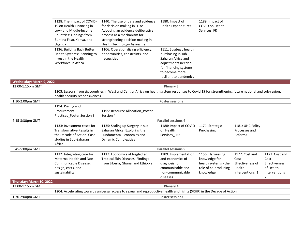|                          | 1128: The Impact of COVID-<br>19 on Health Financing in<br>Low- and Middle-Income<br>Countries: Findings from<br>Burkina Faso, Kenya, and<br>Uganda | 1140: The use of data and evidence<br>for decision making in HTA:<br>Adopting an evidence deliberative<br>process as a mechanism for<br>strengthening decision making in<br>Health Technology Assessment. | 1180: Impact of<br><b>Health Expenditures</b>                                                                                                                 | 1189: Impact of<br><b>COVID on Health</b><br>Services FR                                       |                                                                          |                                                                                                  |
|--------------------------|-----------------------------------------------------------------------------------------------------------------------------------------------------|-----------------------------------------------------------------------------------------------------------------------------------------------------------------------------------------------------------|---------------------------------------------------------------------------------------------------------------------------------------------------------------|------------------------------------------------------------------------------------------------|--------------------------------------------------------------------------|--------------------------------------------------------------------------------------------------|
|                          | 1136: Building Back Better<br>Health Systems: Planning to<br>Invest in the Health<br>Workforce in Africa                                            | 1106: Operationalizing efficiency:<br>opportunities, constraints, and<br>necessities                                                                                                                      | 1111: Strategic health<br>purchasing in sub-<br>Saharan Africa and<br>adjustments needed<br>for financing systems<br>to become more<br>resilient to pandemics |                                                                                                |                                                                          |                                                                                                  |
| Wednesday: March 9, 2022 |                                                                                                                                                     |                                                                                                                                                                                                           |                                                                                                                                                               |                                                                                                |                                                                          |                                                                                                  |
| 12:00-1:15pm GMT         |                                                                                                                                                     |                                                                                                                                                                                                           | <b>Plenary 3</b>                                                                                                                                              |                                                                                                |                                                                          |                                                                                                  |
|                          | health security responsiveness                                                                                                                      | 1203: Lessons from six countries in West and Central Africa on health system responses to Covid 19 for strengthening future national and sub-regional                                                     |                                                                                                                                                               |                                                                                                |                                                                          |                                                                                                  |
| 1:30-2:00pm GMT          |                                                                                                                                                     |                                                                                                                                                                                                           | <b>Poster sessions</b>                                                                                                                                        |                                                                                                |                                                                          |                                                                                                  |
|                          | 1194: Pricing and<br>Procurement<br>Practises_Poster Session 3                                                                                      | 1195: Resource Allocation Poster<br>Session 4                                                                                                                                                             |                                                                                                                                                               |                                                                                                |                                                                          |                                                                                                  |
| 2:15-3:30pm GMT          |                                                                                                                                                     |                                                                                                                                                                                                           | <b>Parallel sessions 4</b>                                                                                                                                    |                                                                                                |                                                                          |                                                                                                  |
|                          | 1133: Investment cases for<br>Transformative Results in<br>the Decade of Action: Case<br>studies in Sub-Saharan<br>Africa                           | 1135: Scaling up Surgery in sub-<br>Saharan Africa: Exploring the<br><b>Fundamental Economics and</b><br><b>Dynamic Complexities</b>                                                                      | 1188: Impact of COVID<br>on Health<br>Services_FR2                                                                                                            | 1171: Strategic<br>Purchasing                                                                  | 1181: UHC Policy<br>Processes and<br>Reforms                             |                                                                                                  |
| 3:45-5:00pm GMT          |                                                                                                                                                     |                                                                                                                                                                                                           | <b>Parallel sessions 5</b>                                                                                                                                    |                                                                                                |                                                                          |                                                                                                  |
|                          | 1132: Integrating care for<br><b>Maternal Health and Non-</b><br>Communicable Disease:<br>design, costs, and<br>sustainability                      | 1117: Economics of Neglected<br><b>Tropical Skin Diseases: Findings</b><br>from Liberia, Ghana, and Ethiopia                                                                                              | 1109: Implementation<br>and economics of<br>diagnosis for<br>communicable and<br>non-communicable<br>diseases                                                 | 1156: Harnessing<br>knowledge for<br>health systems - the<br>role of co-producing<br>knowledge | 1172: Cost and<br>Cost-<br>Effectiveness of<br>Health<br>Interventions_1 | 1173: Cost and<br>Cost-<br><b>Effectiveness</b><br>of Health<br>Interventions_<br>$\overline{2}$ |
| Thursday: March 10, 2022 |                                                                                                                                                     |                                                                                                                                                                                                           |                                                                                                                                                               |                                                                                                |                                                                          |                                                                                                  |
| 12:00-1:15pm GMT         |                                                                                                                                                     |                                                                                                                                                                                                           | <b>Plenary 4</b>                                                                                                                                              |                                                                                                |                                                                          |                                                                                                  |
|                          | 1204: Accelerating towards universal access to sexual and reproductive health and rights (SRHR) in the Decade of Action                             |                                                                                                                                                                                                           |                                                                                                                                                               |                                                                                                |                                                                          |                                                                                                  |
| 1:30-2:00pm GMT          |                                                                                                                                                     |                                                                                                                                                                                                           | <b>Poster sessions</b>                                                                                                                                        |                                                                                                |                                                                          |                                                                                                  |